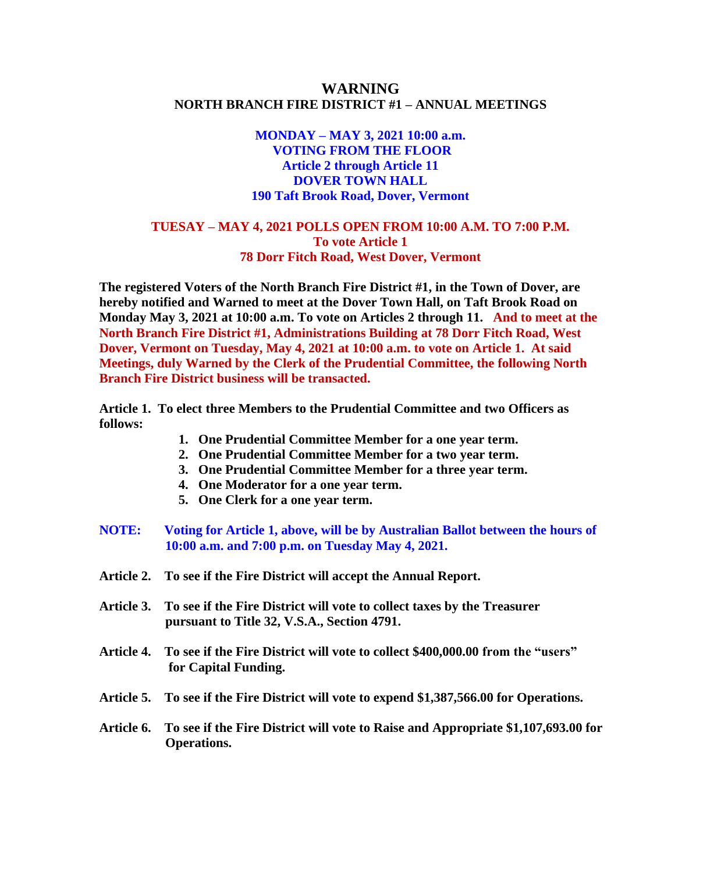## **WARNING NORTH BRANCH FIRE DISTRICT #1 – ANNUAL MEETINGS**

**MONDAY – MAY 3, 2021 10:00 a.m. VOTING FROM THE FLOOR Article 2 through Article 11 DOVER TOWN HALL 190 Taft Brook Road, Dover, Vermont**

#### **TUESAY – MAY 4, 2021 POLLS OPEN FROM 10:00 A.M. TO 7:00 P.M. To vote Article 1 78 Dorr Fitch Road, West Dover, Vermont**

**The registered Voters of the North Branch Fire District #1, in the Town of Dover, are hereby notified and Warned to meet at the Dover Town Hall, on Taft Brook Road on Monday May 3, 2021 at 10:00 a.m. To vote on Articles 2 through 11. And to meet at the North Branch Fire District #1, Administrations Building at 78 Dorr Fitch Road, West Dover, Vermont on Tuesday, May 4, 2021 at 10:00 a.m. to vote on Article 1. At said Meetings, duly Warned by the Clerk of the Prudential Committee, the following North Branch Fire District business will be transacted.**

**Article 1. To elect three Members to the Prudential Committee and two Officers as follows:**

- **1. One Prudential Committee Member for a one year term.**
- **2. One Prudential Committee Member for a two year term.**
- **3. One Prudential Committee Member for a three year term.**
- **4. One Moderator for a one year term.**
- **5. One Clerk for a one year term.**
- **NOTE: Voting for Article 1, above, will be by Australian Ballot between the hours of 10:00 a.m. and 7:00 p.m. on Tuesday May 4, 2021.**
- **Article 2. To see if the Fire District will accept the Annual Report.**
- **Article 3. To see if the Fire District will vote to collect taxes by the Treasurer pursuant to Title 32, V.S.A., Section 4791.**
- **Article 4. To see if the Fire District will vote to collect \$400,000.00 from the "users" for Capital Funding.**
- **Article 5. To see if the Fire District will vote to expend \$1,387,566.00 for Operations.**
- **Article 6. To see if the Fire District will vote to Raise and Appropriate \$1,107,693.00 for Operations.**